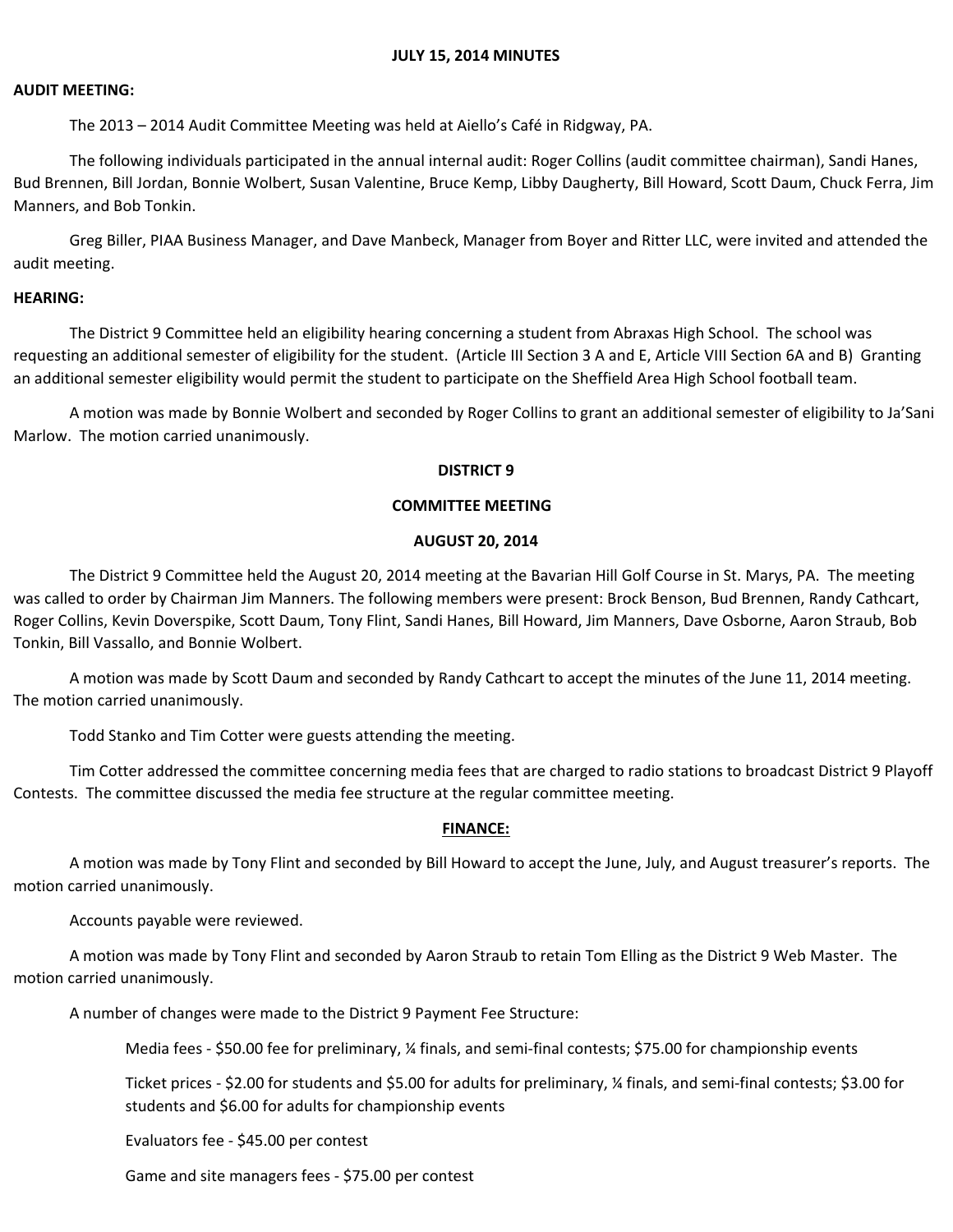### **JULY 15, 2014 MINUTES**

#### **AUDIT MEETING:**

The 2013 – 2014 Audit Committee Meeting was held at Aiello's Café in Ridgway, PA.

The following individuals participated in the annual internal audit: Roger Collins (audit committee chairman), Sandi Hanes, Bud Brennen, Bill Jordan, Bonnie Wolbert, Susan Valentine, Bruce Kemp, Libby Daugherty, Bill Howard, Scott Daum, Chuck Ferra, Jim Manners, and Bob Tonkin.

Greg Biller, PIAA Business Manager, and Dave Manbeck, Manager from Boyer and Ritter LLC, were invited and attended the audit meeting.

#### **HEARING:**

The District 9 Committee held an eligibility hearing concerning a student from Abraxas High School. The school was requesting an additional semester of eligibility for the student. (Article III Section 3 A and E, Article VIII Section 6A and B) Granting an additional semester eligibility would permit the student to participate on the Sheffield Area High School football team.

A motion was made by Bonnie Wolbert and seconded by Roger Collins to grant an additional semester of eligibility to Ja'Sani Marlow. The motion carried unanimously.

### **DISTRICT 9**

### **COMMITTEE MEETING**

### **AUGUST 20, 2014**

The District 9 Committee held the August 20, 2014 meeting at the Bavarian Hill Golf Course in St. Marys, PA. The meeting was called to order by Chairman Jim Manners. The following members were present: Brock Benson, Bud Brennen, Randy Cathcart, Roger Collins, Kevin Doverspike, Scott Daum, Tony Flint, Sandi Hanes, Bill Howard, Jim Manners, Dave Osborne, Aaron Straub, Bob Tonkin, Bill Vassallo, and Bonnie Wolbert.

A motion was made by Scott Daum and seconded by Randy Cathcart to accept the minutes of the June 11, 2014 meeting. The motion carried unanimously.

Todd Stanko and Tim Cotter were guests attending the meeting.

Tim Cotter addressed the committee concerning media fees that are charged to radio stations to broadcast District 9 Playoff Contests. The committee discussed the media fee structure at the regular committee meeting.

#### **FINANCE:**

A motion was made by Tony Flint and seconded by Bill Howard to accept the June, July, and August treasurer's reports. The motion carried unanimously.

Accounts payable were reviewed.

A motion was made by Tony Flint and seconded by Aaron Straub to retain Tom Elling as the District 9 Web Master. The motion carried unanimously.

A number of changes were made to the District 9 Payment Fee Structure:

Media fees - \$50.00 fee for preliminary, ¼ finals, and semi-final contests; \$75.00 for championship events

Ticket prices ‐ \$2.00 for students and \$5.00 for adults for preliminary, ¼ finals, and semi‐final contests; \$3.00 for students and \$6.00 for adults for championship events

Evaluators fee ‐ \$45.00 per contest

Game and site managers fees ‐ \$75.00 per contest